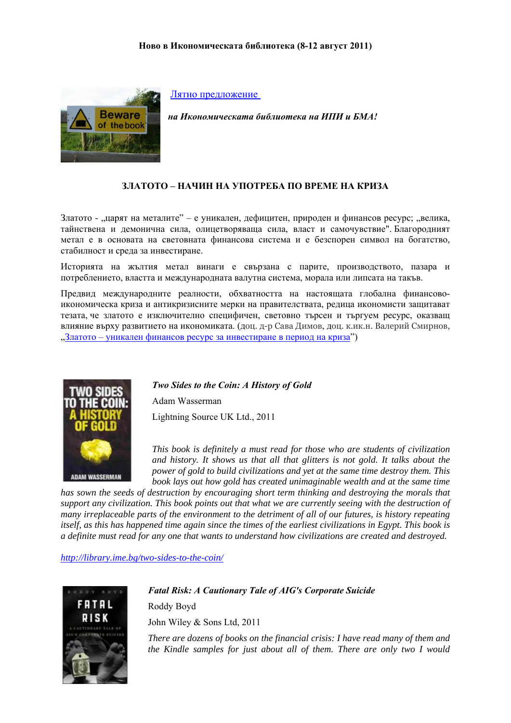

Лятно [предложение](http://www.youtube.com/user/IME1993#p/a/u/0/Yi334ASBI-Y)

*на Икономическата библиотека на ИПИ и БМА!* 

## **ЗЛАТОТО – НАЧИН НА УПОТРЕБА ПО ВРЕМЕ НА КРИЗА**

Златото - "царят на металите" – е уникален, дефицитен, природен и финансов ресурс; "велика, тайнствена и демонична сила, олицетворяваща сила, власт и самочувствие". Благородният метал е в основата на световната финансова система и е безспорен символ на богатство, стабилност и среда за инвестиране.

Историята на жълтия метал винаги е свързана с парите, производството, пазара и потреблението, властта и международната валутна система, морала или липсата на такъв.

Предвид международните реалности, обхватността на настоящата глобална финансовоикономическа криза и антикризисните мерки на правителствата, редица икономисти защитават тезата, че златото е изключително специфичен, световно търсен и търгуем ресурс, оказващ влияние върху развитието на икономиката. (доц. д-р Сава Димов, доц. к.ик.н. Валерий Смирнов, "Златото – уникален финансов ресурс за [инвестиране](http://money.bg/news/id_835141695/%D0%97%D0%BB%D0%B0%D1%82%D0%BE%D1%82%D0%BE_%D1%83%D0%BD%D0%B8%D0%BA%D0%B0%D0%BB%D0%B5%D0%BD_%D1%84%D0%B8%D0%BD%D0%B0%D0%BD%D1%81%D0%BE%D0%B2_%D1%80%D0%B5%D1%81%D1%83%D1%80%D1%81_%D0%B7%D0%B0_%D0%B8%D0%BD%D0%B2%D0%B5%D1%81%25) в период на криза")



*Two Sides to the Coin: A History of Gold* 

Adam Wasserman Lightning Source UK Ltd., 2011

*This book is definitely a must read for those who are students of civilization and history. It shows us that all that glitters is not gold. It talks about the power of gold to build civilizations and yet at the same time destroy them. This book lays out how gold has created unimaginable wealth and at the same time* 

*has sown the seeds of destruction by encouraging short term thinking and destroying the morals that support any civilization. This book points out that what we are currently seeing with the destruction of many irreplaceable parts of the environment to the detriment of all of our futures, is history repeating itself, as this has happened time again since the times of the earliest civilizations in Egypt. This book is a definite must read for any one that wants to understand how civilizations are created and destroyed.* 

*<http://library.ime.bg/two-sides-to-the-coin/>*



*Fatal Risk: A Cautionary Tale of AIG's Corporate Suicide*  Roddy Boyd John Wiley & Sons Ltd, 2011

*There are dozens of books on the financial crisis: I have read many of them and the Kindle samples for just about all of them. There are only two I would*